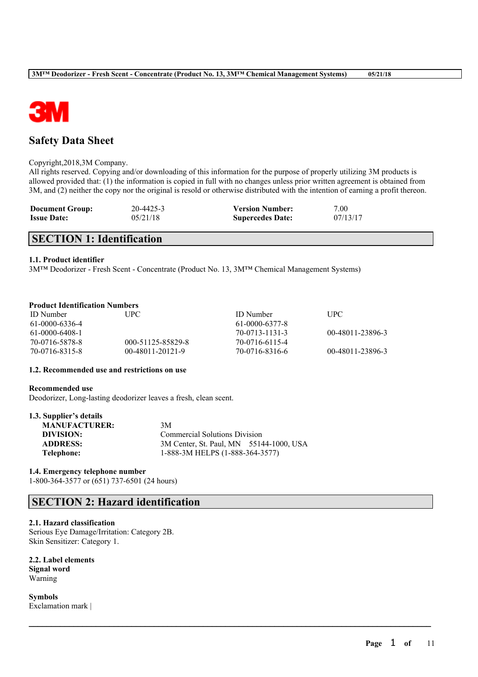

# **Safety Data Sheet**

#### Copyright,2018,3M Company.

All rights reserved. Copying and/or downloading of this information for the purpose of properly utilizing 3M products is allowed provided that: (1) the information is copied in full with no changes unless prior written agreement is obtained from 3M, and (2) neither the copy nor the original is resold or otherwise distributed with the intention of earning a profit thereon.

| <b>Document Group:</b> | 20-4425-3 | <b>Version Number:</b>  | 7.00     |
|------------------------|-----------|-------------------------|----------|
| <b>Issue Date:</b>     | 05/21/18  | <b>Supercedes Date:</b> | 07/13/17 |

# **SECTION 1: Identification**

#### **1.1. Product identifier**

3M™ Deodorizer - Fresh Scent - Concentrate (Product No. 13, 3M™ Chemical Management Systems)

# **Product Identification Numbers**

| <b>ID</b> Number | UPC.              | <b>ID</b> Number | <b>UPC</b>       |
|------------------|-------------------|------------------|------------------|
| 61-0000-6336-4   |                   | 61-0000-6377-8   |                  |
| 61-0000-6408-1   |                   | 70-0713-1131-3   | 00-48011-23896-3 |
| 70-0716-5878-8   | 000-51125-85829-8 | 70-0716-6115-4   |                  |
| 70-0716-8315-8   | 00-48011-20121-9  | 70-0716-8316-6   | 00-48011-23896-3 |

 $\mathcal{L}_\mathcal{L} = \mathcal{L}_\mathcal{L} = \mathcal{L}_\mathcal{L} = \mathcal{L}_\mathcal{L} = \mathcal{L}_\mathcal{L} = \mathcal{L}_\mathcal{L} = \mathcal{L}_\mathcal{L} = \mathcal{L}_\mathcal{L} = \mathcal{L}_\mathcal{L} = \mathcal{L}_\mathcal{L} = \mathcal{L}_\mathcal{L} = \mathcal{L}_\mathcal{L} = \mathcal{L}_\mathcal{L} = \mathcal{L}_\mathcal{L} = \mathcal{L}_\mathcal{L} = \mathcal{L}_\mathcal{L} = \mathcal{L}_\mathcal{L}$ 

#### **1.2. Recommended use and restrictions on use**

#### **Recommended use**

Deodorizer, Long-lasting deodorizer leaves a fresh, clean scent.

| <b>MANUFACTURER:</b><br>3M                                 |  |
|------------------------------------------------------------|--|
|                                                            |  |
| DIVISION:<br><b>Commercial Solutions Division</b>          |  |
| 3M Center, St. Paul, MN 55144-1000, USA<br><b>ADDRESS:</b> |  |
| 1-888-3M HELPS (1-888-364-3577)<br>Telephone:              |  |

## **1.4. Emergency telephone number**

1-800-364-3577 or (651) 737-6501 (24 hours)

# **SECTION 2: Hazard identification**

#### **2.1. Hazard classification**

Serious Eye Damage/Irritation: Category 2B. Skin Sensitizer: Category 1.

**2.2. Label elements Signal word** Warning

**Symbols** Exclamation mark |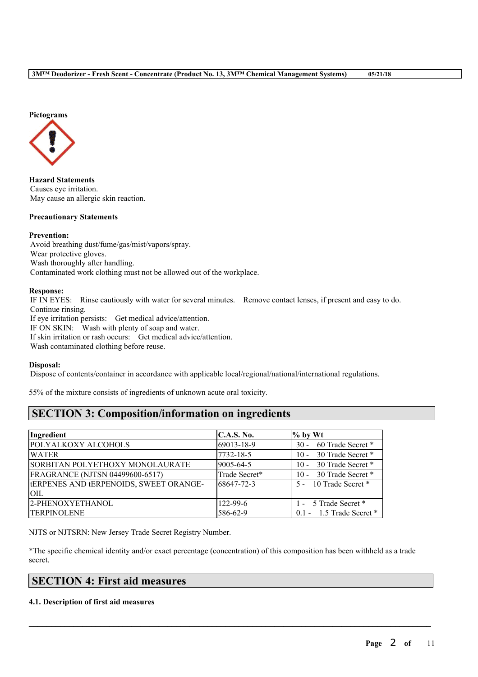# **Pictograms**



**Hazard Statements** Causes eye irritation. May cause an allergic skin reaction.

## **Precautionary Statements**

#### **Prevention:**

Avoid breathing dust/fume/gas/mist/vapors/spray. Wear protective gloves. Wash thoroughly after handling. Contaminated work clothing must not be allowed out of the workplace.

#### **Response:**

IF IN EYES: Rinse cautiously with water for several minutes. Remove contact lenses, if present and easy to do. Continue rinsing. If eye irritation persists: Get medical advice/attention. IF ON SKIN: Wash with plenty of soap and water. If skin irritation or rash occurs: Get medical advice/attention. Wash contaminated clothing before reuse.

#### **Disposal:**

Dispose of contents/container in accordance with applicable local/regional/national/international regulations.

55% of the mixture consists of ingredients of unknown acute oral toxicity.

# **SECTION 3: Composition/information on ingredients**

| Ingredient                                    | C.A.S. No.     | $%$ by Wt                    |
|-----------------------------------------------|----------------|------------------------------|
| POLYALKOXY ALCOHOLS                           | 69013-18-9     | 30 - 60 Trade Secret *       |
| <b>WATER</b>                                  | 7732-18-5      | 10 - 30 Trade Secret *       |
| SORBITAN POLYETHOXY MONOLAURATE               | 9005-64-5      | 30 Trade Secret *<br>$10 -$  |
| FRAGRANCE (NJTSN 04499600-6517)               | Trade Secret*  | 30 Trade Secret *<br>$10 -$  |
| <b>IERPENES AND LERPENOIDS, SWEET ORANGE-</b> | 68647-72-3     | 5 - 10 Trade Secret *        |
| <b>OIL</b>                                    |                |                              |
| 2-PHENOXYETHANOL                              | $122 - 99 - 6$ | 1 - 5 Trade Secret *         |
| <b>TERPINOLENE</b>                            | 586-62-9       | $0.1 - 1.5$ Trade Secret $*$ |

NJTS or NJTSRN: New Jersey Trade Secret Registry Number.

\*The specific chemical identity and/or exact percentage (concentration) of this composition has been withheld as a trade secret.

 $\mathcal{L}_\mathcal{L} = \mathcal{L}_\mathcal{L} = \mathcal{L}_\mathcal{L} = \mathcal{L}_\mathcal{L} = \mathcal{L}_\mathcal{L} = \mathcal{L}_\mathcal{L} = \mathcal{L}_\mathcal{L} = \mathcal{L}_\mathcal{L} = \mathcal{L}_\mathcal{L} = \mathcal{L}_\mathcal{L} = \mathcal{L}_\mathcal{L} = \mathcal{L}_\mathcal{L} = \mathcal{L}_\mathcal{L} = \mathcal{L}_\mathcal{L} = \mathcal{L}_\mathcal{L} = \mathcal{L}_\mathcal{L} = \mathcal{L}_\mathcal{L}$ 

# **SECTION 4: First aid measures**

#### **4.1. Description of first aid measures**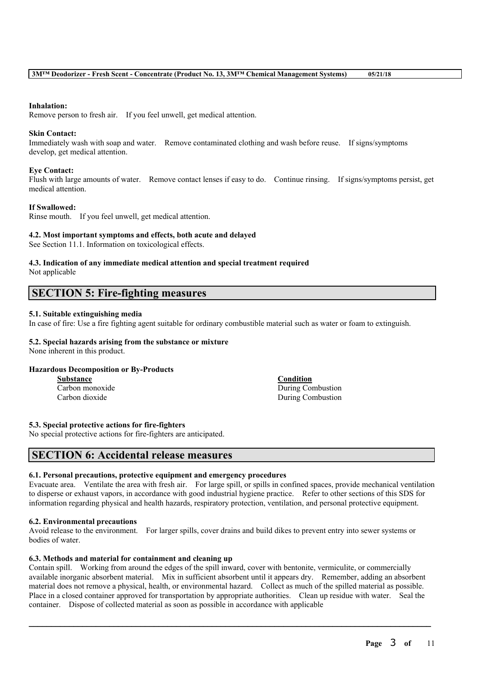#### **Inhalation:**

Remove person to fresh air. If you feel unwell, get medical attention.

#### **Skin Contact:**

Immediately wash with soap and water. Remove contaminated clothing and wash before reuse. If signs/symptoms develop, get medical attention.

#### **Eye Contact:**

Flush with large amounts of water. Remove contact lenses if easy to do. Continue rinsing. If signs/symptoms persist, get medical attention.

#### **If Swallowed:**

Rinse mouth. If you feel unwell, get medical attention.

#### **4.2. Most important symptoms and effects, both acute and delayed**

See Section 11.1. Information on toxicological effects.

# **4.3. Indication of any immediate medical attention and special treatment required**

Not applicable

# **SECTION 5: Fire-fighting measures**

## **5.1. Suitable extinguishing media**

In case of fire: Use a fire fighting agent suitable for ordinary combustible material such as water or foam to extinguish.

# **5.2. Special hazards arising from the substance or mixture**

None inherent in this product.

## **Hazardous Decomposition or By-Products**

| <b>Substance</b> |  |  |
|------------------|--|--|
| Carbon monoxide  |  |  |
| Carbon dioxide   |  |  |

**Substance Condition** During Combustion During Combustion

#### **5.3. Special protective actions for fire-fighters**

No special protective actions for fire-fighters are anticipated.

# **SECTION 6: Accidental release measures**

#### **6.1. Personal precautions, protective equipment and emergency procedures**

Evacuate area. Ventilate the area with fresh air. For large spill, or spills in confined spaces, provide mechanical ventilation to disperse or exhaust vapors, in accordance with good industrial hygiene practice. Refer to other sections of this SDS for information regarding physical and health hazards, respiratory protection, ventilation, and personal protective equipment.

#### **6.2. Environmental precautions**

Avoid release to the environment. For larger spills, cover drains and build dikes to prevent entry into sewer systems or bodies of water.

## **6.3. Methods and material for containment and cleaning up**

Contain spill. Working from around the edges of the spill inward, cover with bentonite, vermiculite, or commercially available inorganic absorbent material. Mix in sufficient absorbent until it appears dry. Remember, adding an absorbent material does not remove a physical, health, or environmental hazard. Collect as much of the spilled material as possible. Place in a closed container approved for transportation by appropriate authorities. Clean up residue with water. Seal the container. Dispose of collected material as soon as possible in accordance with applicable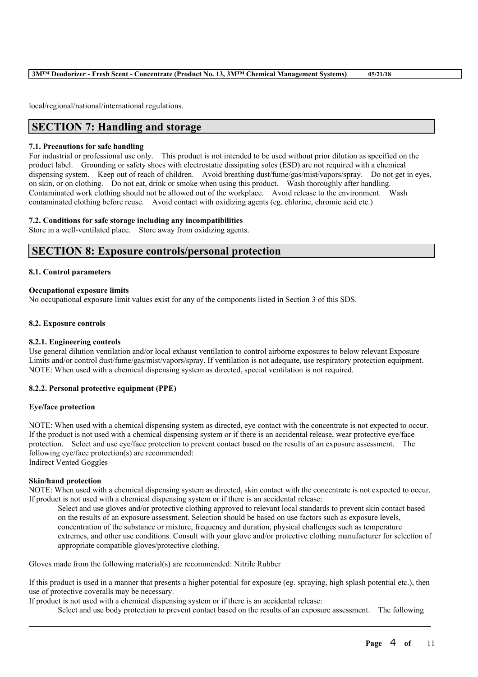local/regional/national/international regulations.

# **SECTION 7: Handling and storage**

#### **7.1. Precautions for safe handling**

For industrial or professional use only. This product is not intended to be used without prior dilution as specified on the product label. Grounding or safety shoes with electrostatic dissipating soles (ESD) are not required with a chemical dispensing system. Keep out of reach of children. Avoid breathing dust/fume/gas/mist/vapors/spray. Do not get in eyes, on skin, or on clothing. Do not eat, drink or smoke when using this product. Wash thoroughly after handling. Contaminated work clothing should not be allowed out of the workplace. Avoid release to the environment. Wash contaminated clothing before reuse. Avoid contact with oxidizing agents (eg. chlorine, chromic acid etc.)

#### **7.2. Conditions for safe storage including any incompatibilities**

Store in a well-ventilated place. Store away from oxidizing agents.

# **SECTION 8: Exposure controls/personal protection**

#### **8.1. Control parameters**

#### **Occupational exposure limits**

No occupational exposure limit values exist for any of the components listed in Section 3 of this SDS.

#### **8.2. Exposure controls**

#### **8.2.1. Engineering controls**

Use general dilution ventilation and/or local exhaust ventilation to control airborne exposures to below relevant Exposure Limits and/or control dust/fume/gas/mist/vapors/spray. If ventilation is not adequate, use respiratory protection equipment. NOTE: When used with a chemical dispensing system as directed, special ventilation is not required.

## **8.2.2. Personal protective equipment (PPE)**

#### **Eye/face protection**

NOTE: When used with a chemical dispensing system as directed, eye contact with the concentrate is not expected to occur. If the product is not used with a chemical dispensing system or if there is an accidental release, wear protective eye/face protection. Select and use eye/face protection to prevent contact based on the results of an exposure assessment. The following eye/face protection(s) are recommended: Indirect Vented Goggles

## **Skin/hand protection**

NOTE: When used with a chemical dispensing system as directed, skin contact with the concentrate is not expected to occur. If product is not used with a chemical dispensing system or if there is an accidental release:

Select and use gloves and/or protective clothing approved to relevant local standards to prevent skin contact based on the results of an exposure assessment. Selection should be based on use factors such as exposure levels, concentration of the substance or mixture, frequency and duration, physical challenges such as temperature extremes, and other use conditions. Consult with your glove and/or protective clothing manufacturer for selection of appropriate compatible gloves/protective clothing.

Gloves made from the following material(s) are recommended: Nitrile Rubber

If this product is used in a manner that presents a higher potential for exposure (eg. spraying, high splash potential etc.), then use of protective coveralls may be necessary.

 $\mathcal{L}_\mathcal{L} = \mathcal{L}_\mathcal{L} = \mathcal{L}_\mathcal{L} = \mathcal{L}_\mathcal{L} = \mathcal{L}_\mathcal{L} = \mathcal{L}_\mathcal{L} = \mathcal{L}_\mathcal{L} = \mathcal{L}_\mathcal{L} = \mathcal{L}_\mathcal{L} = \mathcal{L}_\mathcal{L} = \mathcal{L}_\mathcal{L} = \mathcal{L}_\mathcal{L} = \mathcal{L}_\mathcal{L} = \mathcal{L}_\mathcal{L} = \mathcal{L}_\mathcal{L} = \mathcal{L}_\mathcal{L} = \mathcal{L}_\mathcal{L}$ 

If product is not used with a chemical dispensing system or if there is an accidental release:

Select and use body protection to prevent contact based on the results of an exposure assessment. The following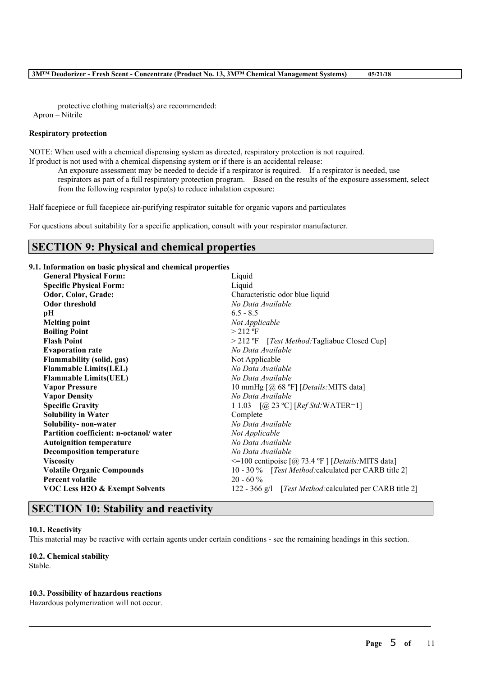protective clothing material(s) are recommended: Apron – Nitrile

#### **Respiratory protection**

NOTE: When used with a chemical dispensing system as directed, respiratory protection is not required.

If product is not used with a chemical dispensing system or if there is an accidental release: An exposure assessment may be needed to decide if a respirator is required. If a respirator is needed, use

respirators as part of a full respiratory protection program. Based on the results of the exposure assessment, select from the following respirator type(s) to reduce inhalation exposure:

Half facepiece or full facepiece air-purifying respirator suitable for organic vapors and particulates

For questions about suitability for a specific application, consult with your respirator manufacturer.

# **SECTION 9: Physical and chemical properties**

## **9.1. Information on basic physical and chemical properties**

| <b>General Physical Form:</b>             | Liquid                                                   |  |  |
|-------------------------------------------|----------------------------------------------------------|--|--|
| <b>Specific Physical Form:</b>            | Liquid                                                   |  |  |
| Odor, Color, Grade:                       | Characteristic odor blue liquid                          |  |  |
| <b>Odor threshold</b>                     | No Data Available                                        |  |  |
| pН                                        | $6.5 - 8.5$                                              |  |  |
| <b>Melting point</b>                      | Not Applicable                                           |  |  |
| <b>Boiling Point</b>                      | $> 212$ °F                                               |  |  |
| <b>Flash Point</b>                        | > 212 °F [Test Method: Tagliabue Closed Cup]             |  |  |
| <b>Evaporation rate</b>                   | No Data Available                                        |  |  |
| <b>Flammability (solid, gas)</b>          | Not Applicable                                           |  |  |
| <b>Flammable Limits(LEL)</b>              | No Data Available                                        |  |  |
| <b>Flammable Limits(UEL)</b>              | No Data Available                                        |  |  |
| <b>Vapor Pressure</b>                     | 10 mmHg [@ 68 °F] [Details: MITS data]                   |  |  |
| <b>Vapor Density</b>                      | No Data Available                                        |  |  |
| <b>Specific Gravity</b>                   | 1 1.03 $[@ 23 °C] [Ref Std: WATER=1]$                    |  |  |
| <b>Solubility in Water</b>                | Complete                                                 |  |  |
| Solubility- non-water                     | No Data Available                                        |  |  |
| Partition coefficient: n-octanol/water    | Not Applicable                                           |  |  |
| <b>Autoignition temperature</b>           | No Data Available                                        |  |  |
| <b>Decomposition temperature</b>          | No Data Available                                        |  |  |
| <b>Viscosity</b>                          | $\le$ =100 centipoise [@ 73.4 °F ] [Details:MITS data]   |  |  |
| <b>Volatile Organic Compounds</b>         | 10 - 30 % [Test Method: calculated per CARB title 2]     |  |  |
| <b>Percent volatile</b>                   | $20 - 60\%$                                              |  |  |
| <b>VOC Less H2O &amp; Exempt Solvents</b> | 122 - 366 g/l [Test Method: calculated per CARB title 2] |  |  |
|                                           |                                                          |  |  |

# **SECTION 10: Stability and reactivity**

## **10.1. Reactivity**

This material may be reactive with certain agents under certain conditions - see the remaining headings in this section.

 $\mathcal{L}_\mathcal{L} = \mathcal{L}_\mathcal{L} = \mathcal{L}_\mathcal{L} = \mathcal{L}_\mathcal{L} = \mathcal{L}_\mathcal{L} = \mathcal{L}_\mathcal{L} = \mathcal{L}_\mathcal{L} = \mathcal{L}_\mathcal{L} = \mathcal{L}_\mathcal{L} = \mathcal{L}_\mathcal{L} = \mathcal{L}_\mathcal{L} = \mathcal{L}_\mathcal{L} = \mathcal{L}_\mathcal{L} = \mathcal{L}_\mathcal{L} = \mathcal{L}_\mathcal{L} = \mathcal{L}_\mathcal{L} = \mathcal{L}_\mathcal{L}$ 

# **10.2. Chemical stability**

Stable.

## **10.3. Possibility of hazardous reactions**

Hazardous polymerization will not occur.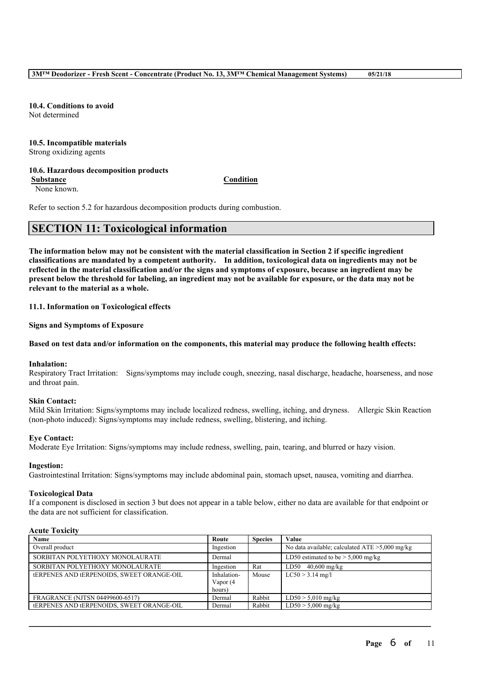**10.4. Conditions to avoid** Not determined

#### **10.5. Incompatible materials** Strong oxidizing agents

## **10.6. Hazardous decomposition products**

**Substance Condition**

None known.

Refer to section 5.2 for hazardous decomposition products during combustion.

# **SECTION 11: Toxicological information**

The information below may not be consistent with the material classification in Section 2 if specific ingredient **classifications are mandated by a competent authority. In addition, toxicological data on ingredients may not be** reflected in the material classification and/or the signs and symptoms of exposure, because an ingredient may be present below the threshold for labeling, an ingredient may not be available for exposure, or the data may not be **relevant to the material as a whole.**

**11.1. Information on Toxicological effects**

**Signs and Symptoms of Exposure**

# Based on test data and/or information on the components, this material may produce the following health effects:

## **Inhalation:**

Respiratory Tract Irritation: Signs/symptoms may include cough, sneezing, nasal discharge, headache, hoarseness, and nose and throat pain.

## **Skin Contact:**

Mild Skin Irritation: Signs/symptoms may include localized redness, swelling, itching, and dryness. Allergic Skin Reaction (non-photo induced): Signs/symptoms may include redness, swelling, blistering, and itching.

# **Eye Contact:**

Moderate Eye Irritation: Signs/symptoms may include redness, swelling, pain, tearing, and blurred or hazy vision.

## **Ingestion:**

Gastrointestinal Irritation: Signs/symptoms may include abdominal pain, stomach upset, nausea, vomiting and diarrhea.

## **Toxicological Data**

If a component is disclosed in section 3 but does not appear in a table below, either no data are available for that endpoint or the data are not sufficient for classification.

## **Acute Toxicity**

| Name                                             | Route       | <b>Species</b> | Value                                             |
|--------------------------------------------------|-------------|----------------|---------------------------------------------------|
| Overall product                                  | Ingestion   |                | No data available; calculated $ATE > 5,000$ mg/kg |
| SORBITAN POLYETHOXY MONOLAURATE                  | Dermal      |                | LD50 estimated to be $> 5,000$ mg/kg              |
| SORBITAN POLYETHOXY MONOLAURATE                  | Ingestion   | Rat            | $LD50$ 40,600 mg/kg                               |
| <b>tERPENES AND TERPENOIDS, SWEET ORANGE-OIL</b> | Inhalation- | Mouse          | $LC50 > 3.14$ mg/l                                |
|                                                  | Vapor (4    |                |                                                   |
|                                                  | hours)      |                |                                                   |
| FRAGRANCE (NJTSN 04499600-6517)                  | Dermal      | Rabbit         | $LD50 > 5,010$ mg/kg                              |
| <b>tERPENES AND TERPENOIDS, SWEET ORANGE-OIL</b> | Dermal      | Rabbit         | $LD50 > 5,000$ mg/kg                              |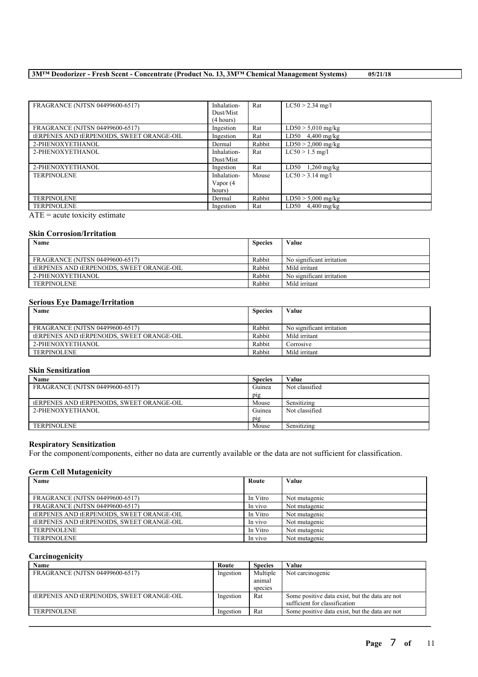| FRAGRANCE (NJTSN 04499600-6517)                  | Inhalation-<br>Dust/Mist | Rat    | $LC50 > 2.34$ mg/l   |
|--------------------------------------------------|--------------------------|--------|----------------------|
|                                                  | (4 hours)                |        |                      |
| FRAGRANCE (NJTSN 04499600-6517)                  | Ingestion                | Rat    | $LD50 > 5,010$ mg/kg |
| <b>TERPENES AND TERPENOIDS. SWEET ORANGE-OIL</b> | Ingestion                | Rat    | LD50 $4,400$ mg/kg   |
| 2-PHENOXYETHANOL                                 | Dermal                   | Rabbit | $LD50 > 2,000$ mg/kg |
| 2-PHENOXYETHANOL                                 | Inhalation-              | Rat    | $LC50 > 1.5$ mg/l    |
|                                                  | Dust/Mist                |        |                      |
| 2-PHENOXYETHANOL                                 | Ingestion                | Rat    | $LD50 \t1.260$ mg/kg |
| <b>TERPINOLENE</b>                               | Inhalation-              | Mouse  | $LC50 > 3.14$ mg/l   |
|                                                  | Vapor (4                 |        |                      |
|                                                  | hours)                   |        |                      |
| <b>TERPINOLENE</b>                               | Dermal                   | Rabbit | $LD50 > 5,000$ mg/kg |
| <b>TERPINOLENE</b>                               | Ingestion                | Rat    | $LD50$ 4,400 mg/kg   |
| $\blacksquare$                                   |                          |        |                      |

 $\overline{ATE}$  = acute toxicity estimate

## **Skin Corrosion/Irritation**

| Name                                            | <b>Species</b> | Value                     |
|-------------------------------------------------|----------------|---------------------------|
|                                                 |                |                           |
| FRAGRANCE (NJTSN 04499600-6517)                 | Rabbit         | No significant irritation |
| <b>ERPENES AND LERPENOIDS. SWEET ORANGE-OIL</b> | Rabbit         | Mild irritant             |
| 2-PHENOXYETHANOL                                | Rabbit         | No significant irritation |
| <b>TERPINOLENE</b>                              | Rabbit         | Mild irritant             |

#### **Serious Eye Damage/Irritation**

| Name                                                    | <b>Species</b> | Value                     |
|---------------------------------------------------------|----------------|---------------------------|
| FRAGRANCE (NJTSN 04499600-6517)                         | Rabbit         | No significant irritation |
| <b><i>LERPENES AND LERPENOIDS. SWEET ORANGE-OIL</i></b> | Rabbit         | Mild irritant             |
| 2-PHENOXYETHANOL                                        | Rabbit         | Corrosive                 |
| <b>TERPINOLENE</b>                                      | Rabbit         | Mild irritant             |

# **Skin Sensitization**

| Name                                             | <b>Species</b> | Value          |
|--------------------------------------------------|----------------|----------------|
| FRAGRANCE (NJTSN 04499600-6517)                  | Guinea         | Not classified |
|                                                  | $p_{1}g$       |                |
| <b>tERPENES AND TERPENOIDS, SWEET ORANGE-OIL</b> | Mouse          | Sensitizing    |
| 2-PHENOXYETHANOL                                 | Guinea         | Not classified |
|                                                  | pig            |                |
| <b>TERPINOLENE</b>                               | Mouse          | Sensitizing    |

## **Respiratory Sensitization**

For the component/components, either no data are currently available or the data are not sufficient for classification.

# **Germ Cell Mutagenicity**

| Name                                             | Route    | Value         |
|--------------------------------------------------|----------|---------------|
|                                                  |          |               |
| FRAGRANCE (NJTSN 04499600-6517)                  | In Vitro | Not mutagenic |
| <b>FRAGRANCE (NJTSN 04499600-6517)</b>           | In vivo  | Not mutagenic |
| <b>tERPENES AND TERPENOIDS, SWEET ORANGE-OIL</b> | In Vitro | Not mutagenic |
| <b>ERPENES AND LERPENOIDS. SWEET ORANGE-OIL</b>  | In vivo  | Not mutagenic |
| <b>TERPINOLENE</b>                               | In Vitro | Not mutagenic |
| <b>TERPINOLENE</b>                               | In vivo  | Not mutagenic |

#### **Carcinogenicity**

| Name                                             | Route     | <b>Species</b> | Value                                          |
|--------------------------------------------------|-----------|----------------|------------------------------------------------|
| FRAGRANCE (NJTSN 04499600-6517)                  | Ingestion | Multiple       | Not carcinogenic                               |
|                                                  |           | anımal         |                                                |
|                                                  |           | species        |                                                |
| <b>tERPENES AND TERPENOIDS, SWEET ORANGE-OIL</b> | Ingestion | Rat            | Some positive data exist, but the data are not |
|                                                  |           |                | sufficient for classification                  |
| <b>TERPINOLENE</b>                               | Ingestion | Rat            | Some positive data exist, but the data are not |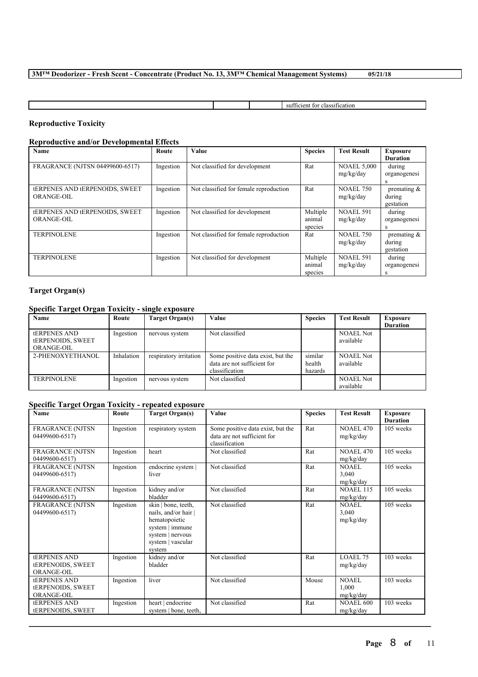|  | 811<br>010001<br>чеаног<br>m<br>cien.<br>-142 |
|--|-----------------------------------------------|

# **Reproductive Toxicity**

# **Reproductive and/or Developmental Effects**

| <b>Name</b>                                                       | Route     | <b>Value</b>                           | <b>Species</b>                | <b>Test Result</b>              | <b>Exposure</b><br><b>Duration</b>    |
|-------------------------------------------------------------------|-----------|----------------------------------------|-------------------------------|---------------------------------|---------------------------------------|
| FRAGRANCE (NJTSN 04499600-6517)                                   | Ingestion | Not classified for development         | Rat                           | <b>NOAEL 5.000</b><br>mg/kg/day | during<br>organogenesi<br>s           |
| <b><i>tERPENES AND tERPENOIDS, SWEET</i></b><br><b>ORANGE-OIL</b> | Ingestion | Not classified for female reproduction | Rat                           | <b>NOAEL 750</b><br>mg/kg/day   | premating $\&$<br>during<br>gestation |
| <b><i>tERPENES AND tERPENOIDS, SWEET</i></b><br><b>ORANGE-OIL</b> | Ingestion | Not classified for development         | Multiple<br>animal<br>species | <b>NOAEL 591</b><br>mg/kg/day   | during<br>organogenesi<br>S           |
| <b>TERPINOLENE</b>                                                | Ingestion | Not classified for female reproduction | Rat                           | <b>NOAEL 750</b><br>mg/kg/day   | premating $\&$<br>during<br>gestation |
| <b>TERPINOLENE</b>                                                | Ingestion | Not classified for development         | Multiple<br>animal<br>species | <b>NOAEL 591</b><br>mg/kg/day   | during<br>organogenesi<br>S           |

# **Target Organ(s)**

# **Specific Target Organ Toxicity - single exposure**

| Name                                                          | Route      | Target Organ(s)        | Value                                                                              | <b>Species</b>               | <b>Test Result</b>            | Exposure<br><b>Duration</b> |
|---------------------------------------------------------------|------------|------------------------|------------------------------------------------------------------------------------|------------------------------|-------------------------------|-----------------------------|
| <b>tERPENES AND</b><br><b>tERPENOIDS, SWEET</b><br>ORANGE-OIL | Ingestion  | nervous system         | Not classified                                                                     |                              | <b>NOAEL Not</b><br>available |                             |
| 2-PHENOXYETHANOL                                              | Inhalation | respiratory irritation | Some positive data exist, but the<br>data are not sufficient for<br>classification | similar<br>health<br>hazards | <b>NOAEL Not</b><br>available |                             |
| <b>TERPINOLENE</b>                                            | Ingestion  | nervous system         | Not classified                                                                     |                              | <b>NOAEL Not</b><br>available |                             |

# **Specific Target Organ Toxicity - repeated exposure**

| Name                                                          | Route     | <b>Target Organ(s)</b>                                                                                                           | Value                                                                              | <b>Species</b> | <b>Test Result</b>                 | <b>Exposure</b><br><b>Duration</b> |
|---------------------------------------------------------------|-----------|----------------------------------------------------------------------------------------------------------------------------------|------------------------------------------------------------------------------------|----------------|------------------------------------|------------------------------------|
| <b>FRAGRANCE (NJTSN</b><br>04499600-6517)                     | Ingestion | respiratory system                                                                                                               | Some positive data exist, but the<br>data are not sufficient for<br>classification | Rat            | <b>NOAEL 470</b><br>mg/kg/day      | 105 weeks                          |
| <b>FRAGRANCE (NJTSN</b><br>04499600-6517)                     | Ingestion | heart                                                                                                                            | Not classified                                                                     | Rat            | <b>NOAEL 470</b><br>mg/kg/day      | 105 weeks                          |
| <b>FRAGRANCE (NJTSN</b><br>04499600-6517)                     | Ingestion | endocrine system  <br>liver                                                                                                      | Not classified                                                                     | Rat            | <b>NOAEL</b><br>3.040<br>mg/kg/day | 105 weeks                          |
| <b>FRAGRANCE (NJTSN</b><br>04499600-6517)                     | Ingestion | kidney and/or<br>bladder                                                                                                         | Not classified                                                                     | Rat            | <b>NOAEL 115</b><br>mg/kg/day      | 105 weeks                          |
| <b>FRAGRANCE (NJTSN</b><br>04499600-6517)                     | Ingestion | skin   bone, teeth,<br>nails, and/or hair<br>hematopoietic<br>system   immune<br>system   nervous<br>system   vascular<br>system | Not classified                                                                     | Rat            | NOAEL<br>3,040<br>mg/kg/day        | 105 weeks                          |
| <b>tERPENES AND</b><br><b>tERPENOIDS, SWEET</b><br>ORANGE-OIL | Ingestion | kidney and/or<br>bladder                                                                                                         | Not classified                                                                     | Rat            | LOAEL 75<br>mg/kg/day              | 103 weeks                          |
| <b>ERPENES AND</b><br><b>tERPENOIDS, SWEET</b><br>ORANGE-OIL  | Ingestion | liver                                                                                                                            | Not classified                                                                     | Mouse          | NOAEL<br>1,000<br>mg/kg/day        | 103 weeks                          |
| <b>tERPENES AND</b><br><b>tERPENOIDS, SWEET</b>               | Ingestion | heart   endocrine<br>system   bone, teeth,                                                                                       | Not classified                                                                     | Rat            | <b>NOAEL 600</b><br>mg/kg/day      | 103 weeks                          |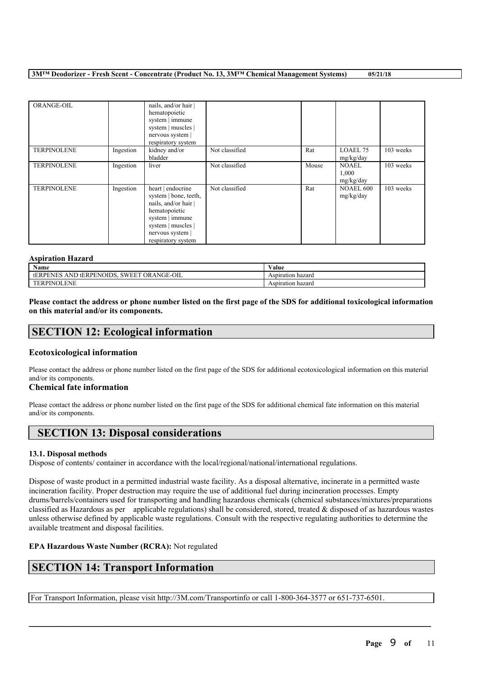| ORANGE-OIL         |           | nails, and/or hair<br>hematopoietic<br>system   immune<br>system   muscles  <br>nervous system  <br>respiratory system                                                 |                |       |                                    |           |
|--------------------|-----------|------------------------------------------------------------------------------------------------------------------------------------------------------------------------|----------------|-------|------------------------------------|-----------|
| <b>TERPINOLENE</b> | Ingestion | kidney and/or<br>bladder                                                                                                                                               | Not classified | Rat   | LOAEL 75<br>mg/kg/day              | 103 weeks |
| <b>TERPINOLENE</b> | Ingestion | liver                                                                                                                                                                  | Not classified | Mouse | <b>NOAEL</b><br>1,000<br>mg/kg/day | 103 weeks |
| <b>TERPINOLENE</b> | Ingestion | heart   endocrine<br>system   bone, teeth,<br>nails, and/or hair  <br>hematopoietic<br>system   immune<br>system   muscles  <br>nervous system  <br>respiratory system | Not classified | Rat   | NOAEL 600<br>mg/kg/day             | 103 weeks |

# **Aspiration Hazard**

| Name                                                                                          | <b>WY 7</b><br>⁄ alue |
|-----------------------------------------------------------------------------------------------|-----------------------|
| 3-OIL<br>'NOIDS.<br><b>ORANGE</b><br><b>SWEE1</b><br><b>ANT</b><br>tERPE<br>tERPI<br>. sin Fi | Aspiration hazard     |
| OLENE<br>PINC<br>ЕN                                                                           | Aspiration hazard     |

Please contact the address or phone number listed on the first page of the SDS for additional toxicological information **on this material and/or its components.**

# **SECTION 12: Ecological information**

# **Ecotoxicological information**

Please contact the address or phone number listed on the first page of the SDS for additional ecotoxicological information on this material and/or its components.

## **Chemical fate information**

Please contact the address or phone number listed on the first page of the SDS for additional chemical fate information on this material and/or its components.

# **SECTION 13: Disposal considerations**

## **13.1. Disposal methods**

Dispose of contents/ container in accordance with the local/regional/national/international regulations.

Dispose of waste product in a permitted industrial waste facility. As a disposal alternative, incinerate in a permitted waste incineration facility. Proper destruction may require the use of additional fuel during incineration processes. Empty drums/barrels/containers used for transporting and handling hazardous chemicals (chemical substances/mixtures/preparations classified as Hazardous as per applicable regulations) shall be considered, stored, treated & disposed of as hazardous wastes unless otherwise defined by applicable waste regulations. Consult with the respective regulating authorities to determine the available treatment and disposal facilities.

 $\mathcal{L}_\mathcal{L} = \mathcal{L}_\mathcal{L} = \mathcal{L}_\mathcal{L} = \mathcal{L}_\mathcal{L} = \mathcal{L}_\mathcal{L} = \mathcal{L}_\mathcal{L} = \mathcal{L}_\mathcal{L} = \mathcal{L}_\mathcal{L} = \mathcal{L}_\mathcal{L} = \mathcal{L}_\mathcal{L} = \mathcal{L}_\mathcal{L} = \mathcal{L}_\mathcal{L} = \mathcal{L}_\mathcal{L} = \mathcal{L}_\mathcal{L} = \mathcal{L}_\mathcal{L} = \mathcal{L}_\mathcal{L} = \mathcal{L}_\mathcal{L}$ 

## **EPA Hazardous Waste Number (RCRA):** Not regulated

# **SECTION 14: Transport Information**

For Transport Information, please visit http://3M.com/Transportinfo or call 1-800-364-3577 or 651-737-6501.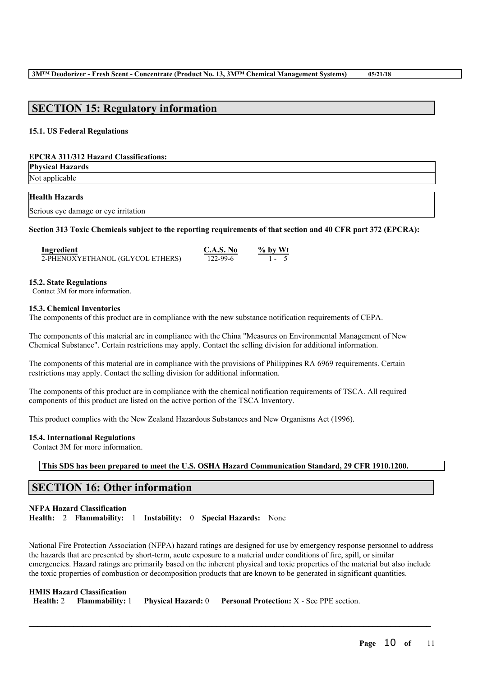# **SECTION 15: Regulatory information**

#### **15.1. US Federal Regulations**

#### **EPCRA 311/312 Hazard Classifications:**

**Physical Hazards** Not applicable

#### **Health Hazards**

|  | Serious eye damage or eye irritation |  |  |
|--|--------------------------------------|--|--|
|  |                                      |  |  |

#### Section 313 Toxic Chemicals subject to the reporting requirements of that section and 40 CFR part 372 (EPCRA):

| <b>Ingredient</b>                | C.A.S. No | $\%$ by Wt |
|----------------------------------|-----------|------------|
| 2-PHENOXYETHANOL (GLYCOL ETHERS) | 122-99-6  | $1 - 5$    |

#### **15.2. State Regulations**

Contact 3M for more information.

#### **15.3. Chemical Inventories**

The components of this product are in compliance with the new substance notification requirements of CEPA.

The components of this material are in compliance with the China "Measures on Environmental Management of New Chemical Substance". Certain restrictions may apply. Contact the selling division for additional information.

The components of this material are in compliance with the provisions of Philippines RA 6969 requirements. Certain restrictions may apply. Contact the selling division for additional information.

The components of this product are in compliance with the chemical notification requirements of TSCA. All required components of this product are listed on the active portion of the TSCA Inventory.

This product complies with the New Zealand Hazardous Substances and New Organisms Act (1996).

## **15.4. International Regulations**

Contact 3M for more information.

**This SDS has been prepared to meet the U.S. OSHA Hazard Communication Standard, 29 CFR 1910.1200.**

# **SECTION 16: Other information**

**NFPA Hazard Classification Health:** 2 **Flammability:** 1 **Instability:** 0 **Special Hazards:** None

National Fire Protection Association (NFPA) hazard ratings are designed for use by emergency response personnel to address the hazards that are presented by short-term, acute exposure to a material under conditions of fire, spill, or similar emergencies. Hazard ratings are primarily based on the inherent physical and toxic properties of the material but also include the toxic properties of combustion or decomposition products that are known to be generated in significant quantities.

 $\mathcal{L}_\mathcal{L} = \mathcal{L}_\mathcal{L} = \mathcal{L}_\mathcal{L} = \mathcal{L}_\mathcal{L} = \mathcal{L}_\mathcal{L} = \mathcal{L}_\mathcal{L} = \mathcal{L}_\mathcal{L} = \mathcal{L}_\mathcal{L} = \mathcal{L}_\mathcal{L} = \mathcal{L}_\mathcal{L} = \mathcal{L}_\mathcal{L} = \mathcal{L}_\mathcal{L} = \mathcal{L}_\mathcal{L} = \mathcal{L}_\mathcal{L} = \mathcal{L}_\mathcal{L} = \mathcal{L}_\mathcal{L} = \mathcal{L}_\mathcal{L}$ 

# **HMIS Hazard Classification**

|  |  |  | Health: 2 Flammability: 1 Physical Hazard: 0 Personal Protection: X - See PPE section. |
|--|--|--|----------------------------------------------------------------------------------------|
|--|--|--|----------------------------------------------------------------------------------------|